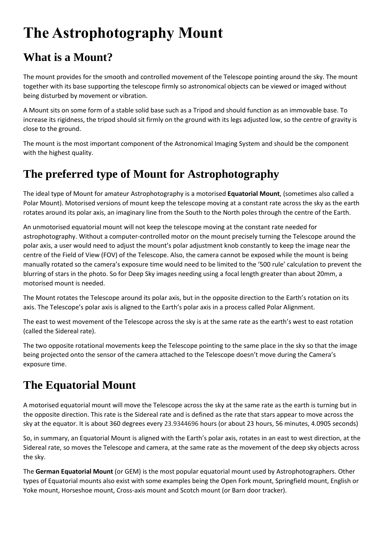# **The Astrophotography Mount**

# **What is a Mount?**

The mount provides for the smooth and controlled movement of the Telescope pointing around the sky. The mount together with its base supporting the telescope firmly so astronomical objects can be viewed or imaged without being disturbed by movement or vibration.

A Mount sits on some form of a stable solid base such as a Tripod and should function as an immovable base. To increase its rigidness, the tripod should sit firmly on the ground with its legs adjusted low, so the centre of gravity is close to the ground.

The mount is the most important component of the Astronomical Imaging System and should be the component with the highest quality.

### **The preferred type of Mount for Astrophotography**

The ideal type of Mount for amateur Astrophotography is a motorised **Equatorial Mount**, (sometimes also called a Polar Mount). Motorised versions of mount keep the telescope moving at a constant rate across the sky as the earth rotates around its polar axis, an imaginary line from the South to the North poles through the centre of the Earth.

An unmotorised equatorial mount will not keep the telescope moving at the constant rate needed for astrophotography. Without a computer-controlled motor on the mount precisely turning the Telescope around the polar axis, a user would need to adjust the mount's polar adjustment knob constantly to keep the image near the centre of the Field of View (FOV) of the Telescope. Also, the camera cannot be exposed while the mount is being manually rotated so the camera's exposure time would need to be limited to the '500 rule' calculation to prevent the blurring of stars in the photo. So for Deep Sky images needing using a focal length greater than about 20mm, a motorised mount is needed.

The Mount rotates the Telescope around its polar axis, but in the opposite direction to the Earth's rotation on its axis. The Telescope's polar axis is aligned to the Earth's polar axis in a process called Polar Alignment.

The east to west movement of the Telescope across the sky is at the same rate as the earth's west to east rotation (called the Sidereal rate).

The two opposite rotational movements keep the Telescope pointing to the same place in the sky so that the image being projected onto the sensor of the camera attached to the Telescope doesn't move during the Camera's exposure time.

# **The Equatorial Mount**

A motorised equatorial mount will move the Telescope across the sky at the same rate as the earth is turning but in the opposite direction. This rate is the Sidereal rate and is defined as the rate that stars appear to move across the sky at the equator. It is about 360 degrees every 23.9344696 hours (or about 23 hours, 56 minutes, 4.0905 seconds)

So, in summary, an Equatorial Mount is aligned with the Earth's polar axis, rotates in an east to west direction, at the Sidereal rate, so moves the Telescope and camera, at the same rate as the movement of the deep sky objects across the sky.

The **German Equatorial Mount** (or GEM) is the most popular equatorial mount used by Astrophotographers. Other types of Equatorial mounts also exist with some examples being the Open Fork mount, Springfield mount, English or Yoke mount, Horseshoe mount, Cross-axis mount and Scotch mount (or Barn door tracker).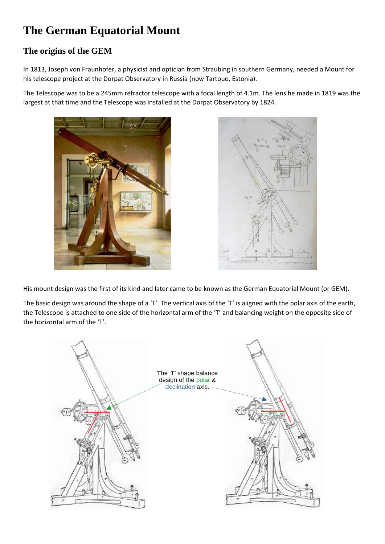### **The German Equatorial Mount**

### **The origins of the GEM**

In 1813, Joseph von Fraunhofer, a physicist and optician from Straubing in southern Germany, needed a Mount for his telescope project at the Dorpat Observatory in Russia (now Tartouo, Estonia).

The Telescope was to be a 245mm refractor telescope with a focal length of 4.1m. The lens he made in 1819 was the largest at that time and the Telescope was installed at the Dorpat Observatory by 1824.





His mount design was the first of its kind and later came to be known as the German Equatorial Mount (or GEM).

The basic design was around the shape of a 'T'. The vertical axis of the 'T' is aligned with the polar axis of the earth, the Telescope is attached to one side of the horizontal arm of the 'T' and balancing weight on the opposite side of the horizontal arm of the 'T'.

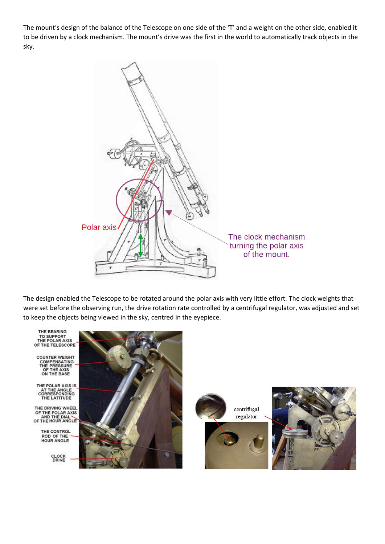The mount's design of the balance of the Telescope on one side of the 'T' and a weight on the other side, enabled it to be driven by a clock mechanism. The mount's drive was the first in the world to automatically track objects in the sky.



The design enabled the Telescope to be rotated around the polar axis with very little effort. The clock weights that were set before the observing run, the drive rotation rate controlled by a centrifugal regulator, was adjusted and set to keep the objects being viewed in the sky, centred in the eyepiece.

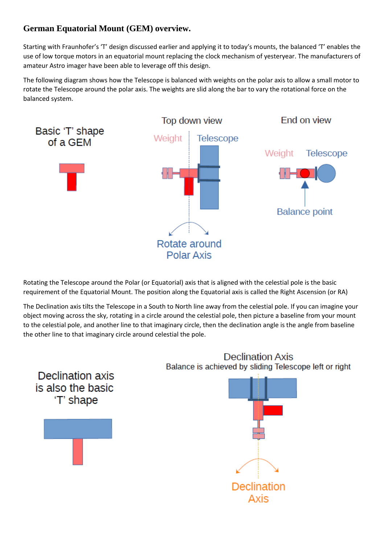### **German Equatorial Mount (GEM) overview.**

Starting with Fraunhofer's 'T' design discussed earlier and applying it to today's mounts, the balanced 'T' enables the use of low torque motors in an equatorial mount replacing the clock mechanism of yesteryear. The manufacturers of amateur Astro imager have been able to leverage off this design.

The following diagram shows how the Telescope is balanced with weights on the polar axis to allow a small motor to rotate the Telescope around the polar axis. The weights are slid along the bar to vary the rotational force on the balanced system.



Rotating the Telescope around the Polar (or Equatorial) axis that is aligned with the celestial pole is the basic requirement of the Equatorial Mount. The position along the Equatorial axis is called the Right Ascension (or RA)

The Declination axis tilts the Telescope in a South to North line away from the celestial pole. If you can imagine your object moving across the sky, rotating in a circle around the celestial pole, then picture a baseline from your mount to the celestial pole, and another line to that imaginary circle, then the declination angle is the angle from baseline the other line to that imaginary circle around celestial the pole.

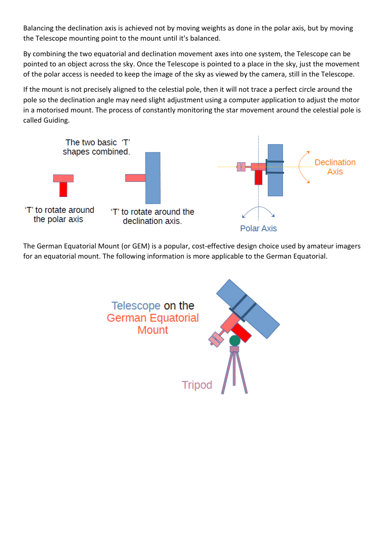Balancing the declination axis is achieved not by moving weights as done in the polar axis, but by moving the Telescope mounting point to the mount until it's balanced.

By combining the two equatorial and declination movement axes into one system, the Telescope can be pointed to an object across the sky. Once the Telescope is pointed to a place in the sky, just the movement of the polar access is needed to keep the image of the sky as viewed by the camera, still in the Telescope.

If the mount is not precisely aligned to the celestial pole, then it will not trace a perfect circle around the pole so the declination angle may need slight adjustment using a computer application to adjust the motor in a motorised mount. The process of constantly monitoring the star movement around the celestial pole is called Guiding.



The German Equatorial Mount (or GEM) is a popular, cost-effective design choice used by amateur imagers for an equatorial mount. The following information is more applicable to the German Equatorial.

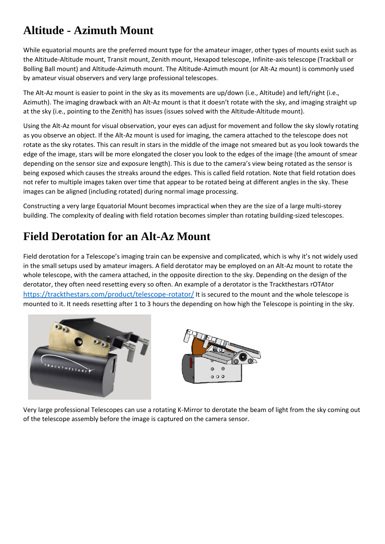### **Altitude - Azimuth Mount**

While equatorial mounts are the preferred mount type for the amateur imager, other types of mounts exist such as the Altitude-Altitude mount, Transit mount, Zenith mount, Hexapod telescope, Infinite-axis telescope (Trackball or Bolling Ball mount) and Altitude-Azimuth mount. The Altitude-Azimuth mount (or Alt-Az mount) is commonly used by amateur visual observers and very large professional telescopes.

The Alt-Az mount is easier to point in the sky as its movements are up/down (i.e., Altitude) and left/right (i.e., Azimuth). The imaging drawback with an Alt-Az mount is that it doesn't rotate with the sky, and imaging straight up at the sky (i.e., pointing to the Zenith) has issues (issues solved with the Altitude-Altitude mount).

Using the Alt-Az mount for visual observation, your eyes can adjust for movement and follow the sky slowly rotating as you observe an object. If the Alt-Az mount is used for imaging, the camera attached to the telescope does not rotate as the sky rotates. This can result in stars in the middle of the image not smeared but as you look towards the edge of the image, stars will be more elongated the closer you look to the edges of the image (the amount of smear depending on the sensor size and exposure length). This is due to the camera's view being rotated as the sensor is being exposed which causes the streaks around the edges. This is called field rotation. Note that field rotation does not refer to multiple images taken over time that appear to be rotated being at different angles in the sky. These images can be aligned (including rotated) during normal image processing.

Constructing a very large Equatorial Mount becomes impractical when they are the size of a large multi-storey building. The complexity of dealing with field rotation becomes simpler than rotating building-sized telescopes.

### **Field Derotation for an Alt-Az Mount**

Field derotation for a Telescope's imaging train can be expensive and complicated, which is why it's not widely used in the small setups used by amateur imagers. A field derotator may be employed on an Alt-Az mount to rotate the whole telescope, with the camera attached, in the opposite direction to the sky. Depending on the design of the derotator, they often need resetting every so often. An example of a derotator is the Trackthestars rOTAtor <https://trackthestars.com/product/telescope-rotator/> It is secured to the mount and the whole telescope is mounted to it. It needs resetting after 1 to 3 hours the depending on how high the Telescope is pointing in the sky.





Very large professional Telescopes can use a rotating K-Mirror to derotate the beam of light from the sky coming out of the telescope assembly before the image is captured on the camera sensor.